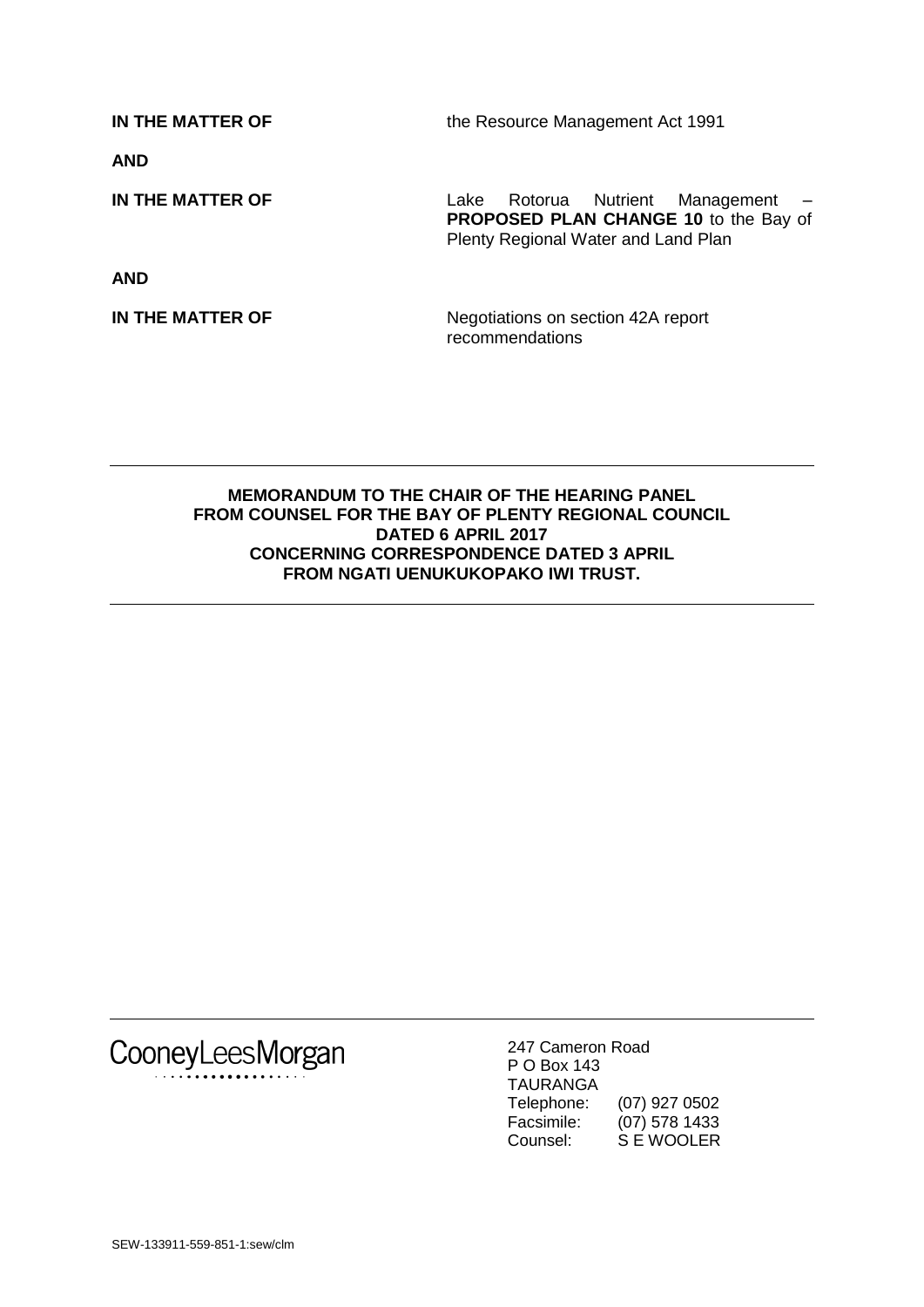**IN THE MATTER OF** the Resource Management Act 1991

**AND**

**IN THE MATTER OF** Lake Rotorua Nutrient Management –

**AND**

Plenty Regional Water and Land Plan

**PROPOSED PLAN CHANGE 10** to the Bay of

**IN THE MATTER OF** Negotiations on section 42A report recommendations

### **MEMORANDUM TO THE CHAIR OF THE HEARING PANEL FROM COUNSEL FOR THE BAY OF PLENTY REGIONAL COUNCIL DATED 6 APRIL 2017 CONCERNING CORRESPONDENCE DATED 3 APRIL FROM NGATI UENUKUKOPAKO IWI TRUST.**

CooneyLeesMorgan

247 Cameron Road P O Box 143 TAURANGA Telephone: (07) 927 0502 Facsimile: (07) 578 1433 Counsel: S E WOOLER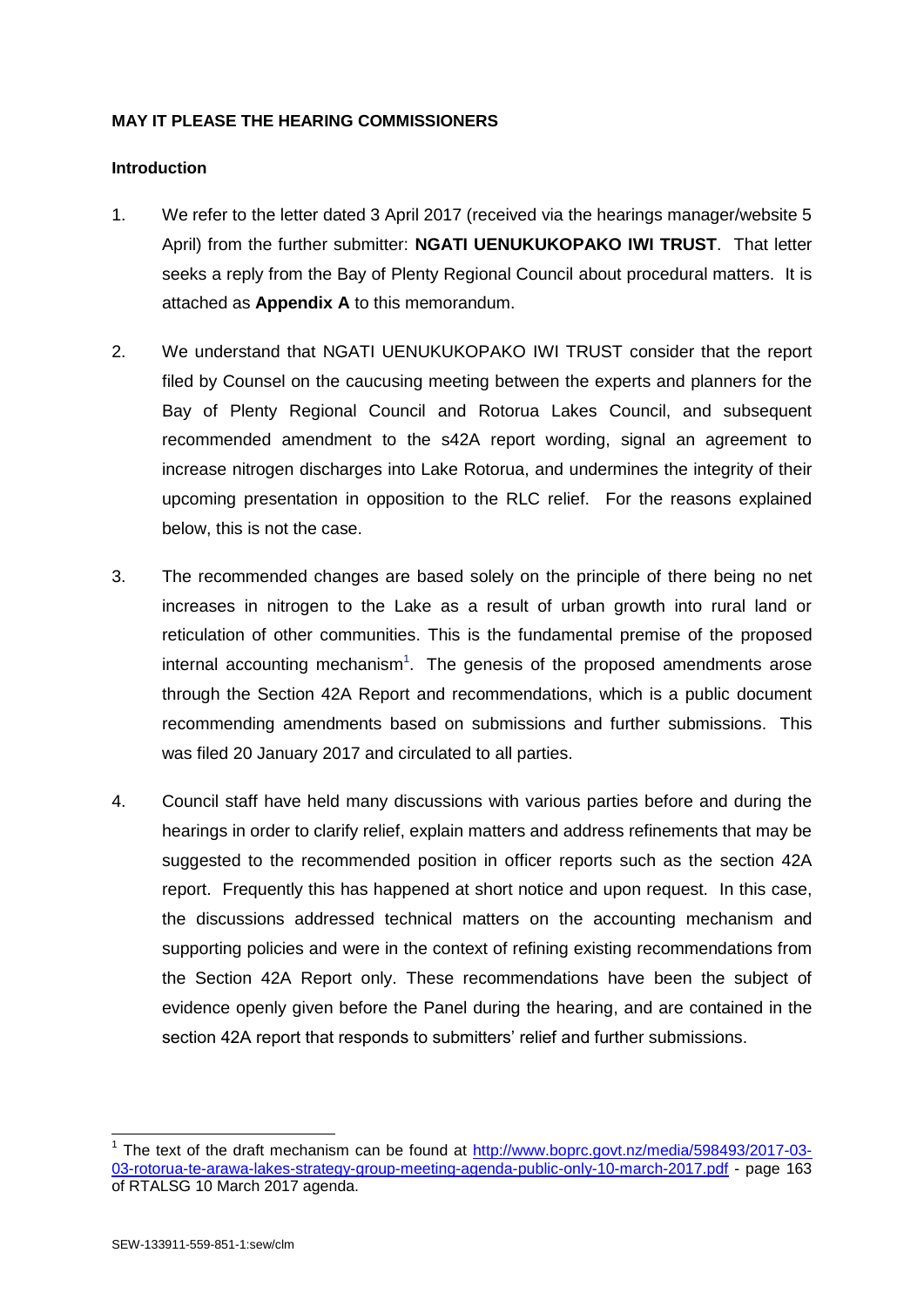## **MAY IT PLEASE THE HEARING COMMISSIONERS**

#### **Introduction**

- 1. We refer to the letter dated 3 April 2017 (received via the hearings manager/website 5 April) from the further submitter: **NGATI UENUKUKOPAKO IWI TRUST**. That letter seeks a reply from the Bay of Plenty Regional Council about procedural matters. It is attached as **Appendix A** to this memorandum.
- 2. We understand that NGATI UENUKUKOPAKO IWI TRUST consider that the report filed by Counsel on the caucusing meeting between the experts and planners for the Bay of Plenty Regional Council and Rotorua Lakes Council, and subsequent recommended amendment to the s42A report wording, signal an agreement to increase nitrogen discharges into Lake Rotorua, and undermines the integrity of their upcoming presentation in opposition to the RLC relief. For the reasons explained below, this is not the case.
- 3. The recommended changes are based solely on the principle of there being no net increases in nitrogen to the Lake as a result of urban growth into rural land or reticulation of other communities. This is the fundamental premise of the proposed internal accounting mechanism<sup>1</sup>. The genesis of the proposed amendments arose through the Section 42A Report and recommendations, which is a public document recommending amendments based on submissions and further submissions. This was filed 20 January 2017 and circulated to all parties.
- 4. Council staff have held many discussions with various parties before and during the hearings in order to clarify relief, explain matters and address refinements that may be suggested to the recommended position in officer reports such as the section 42A report. Frequently this has happened at short notice and upon request. In this case, the discussions addressed technical matters on the accounting mechanism and supporting policies and were in the context of refining existing recommendations from the Section 42A Report only. These recommendations have been the subject of evidence openly given before the Panel during the hearing, and are contained in the section 42A report that responds to submitters' relief and further submissions.

 $\overline{1}$ 

<sup>&</sup>lt;sup>1</sup> The text of the draft mechanism can be found at [http://www.boprc.govt.nz/media/598493/2017-03-](http://www.boprc.govt.nz/media/598493/2017-03-03-rotorua-te-arawa-lakes-strategy-group-meeting-agenda-public-only-10-march-2017.pdf) [03-rotorua-te-arawa-lakes-strategy-group-meeting-agenda-public-only-10-march-2017.pdf](http://www.boprc.govt.nz/media/598493/2017-03-03-rotorua-te-arawa-lakes-strategy-group-meeting-agenda-public-only-10-march-2017.pdf) - page 163 of RTALSG 10 March 2017 agenda.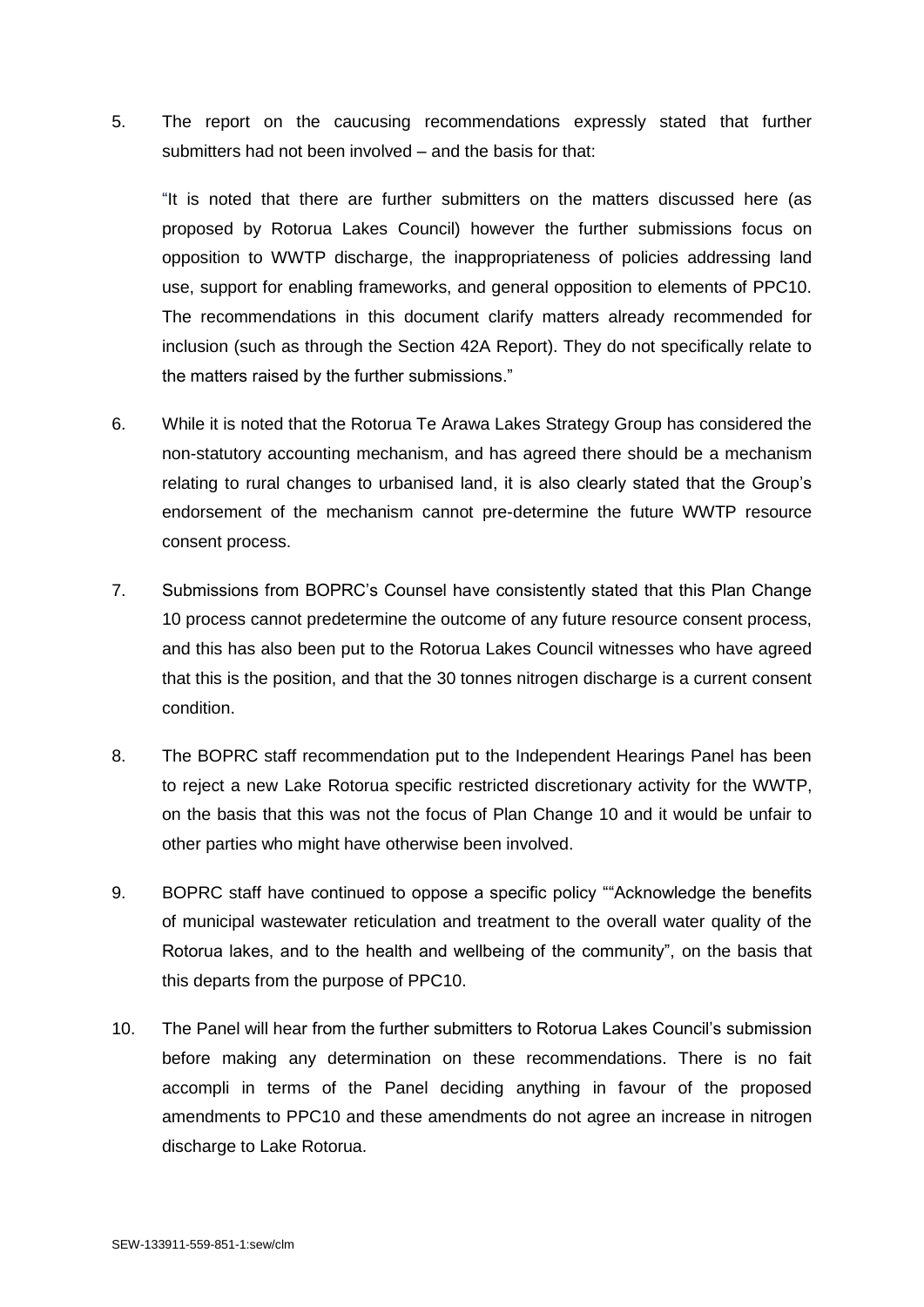5. The report on the caucusing recommendations expressly stated that further submitters had not been involved – and the basis for that:

"It is noted that there are further submitters on the matters discussed here (as proposed by Rotorua Lakes Council) however the further submissions focus on opposition to WWTP discharge, the inappropriateness of policies addressing land use, support for enabling frameworks, and general opposition to elements of PPC10. The recommendations in this document clarify matters already recommended for inclusion (such as through the Section 42A Report). They do not specifically relate to the matters raised by the further submissions."

- 6. While it is noted that the Rotorua Te Arawa Lakes Strategy Group has considered the non-statutory accounting mechanism, and has agreed there should be a mechanism relating to rural changes to urbanised land, it is also clearly stated that the Group's endorsement of the mechanism cannot pre-determine the future WWTP resource consent process.
- 7. Submissions from BOPRC's Counsel have consistently stated that this Plan Change 10 process cannot predetermine the outcome of any future resource consent process, and this has also been put to the Rotorua Lakes Council witnesses who have agreed that this is the position, and that the 30 tonnes nitrogen discharge is a current consent condition.
- 8. The BOPRC staff recommendation put to the Independent Hearings Panel has been to reject a new Lake Rotorua specific restricted discretionary activity for the WWTP, on the basis that this was not the focus of Plan Change 10 and it would be unfair to other parties who might have otherwise been involved.
- 9. BOPRC staff have continued to oppose a specific policy ""Acknowledge the benefits of municipal wastewater reticulation and treatment to the overall water quality of the Rotorua lakes, and to the health and wellbeing of the community", on the basis that this departs from the purpose of PPC10.
- 10. The Panel will hear from the further submitters to Rotorua Lakes Council's submission before making any determination on these recommendations. There is no fait accompli in terms of the Panel deciding anything in favour of the proposed amendments to PPC10 and these amendments do not agree an increase in nitrogen discharge to Lake Rotorua.